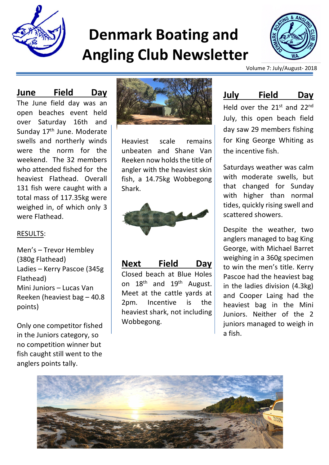

# **Denmark Boating and Angling Club Newsletter**



Volume 7: July/August- 2018

#### **June Field Day**

The June field day was an open beaches event held over Saturday 16th and Sunday 17<sup>th</sup> June. Moderate swells and northerly winds were the norm for the weekend. The 32 members who attended fished for the heaviest Flathead. Overall 131 fish were caught with a total mass of 117.35kg were weighed in, of which only 3 were Flathead.

#### RESULTS:

Men's – Trevor Hembley (380g Flathead) Ladies – Kerry Pascoe (345g Flathead) Mini Juniors – Lucas Van Reeken (heaviest bag – 40.8 points)

Only one competitor fished in the Juniors category, so no competition winner but fish caught still went to the anglers points tally.



Heaviest scale remains unbeaten and Shane Van Reeken now holds the title of angler with the heaviest skin fish, a 14.75kg Wobbegong Shark.



**Next Field Day**  Closed beach at Blue Holes on  $18<sup>th</sup>$  and  $19<sup>th</sup>$  August. Meet at the cattle yards at 2pm. Incentive is the heaviest shark, not including Wobbegong.

#### **July Field Day**

Held over the 21<sup>st</sup> and 22<sup>nd</sup> July, this open beach field day saw 29 members fishing for King George Whiting as the incentive fish.

Saturdays weather was calm with moderate swells, but that changed for Sunday with higher than normal tides, quickly rising swell and scattered showers.

Despite the weather, two anglers managed to bag King George, with Michael Barret weighing in a 360g specimen to win the men's title. Kerry Pascoe had the heaviest bag in the ladies division (4.3kg) and Cooper Laing had the heaviest bag in the Mini Juniors. Neither of the 2 juniors managed to weigh in a fish.